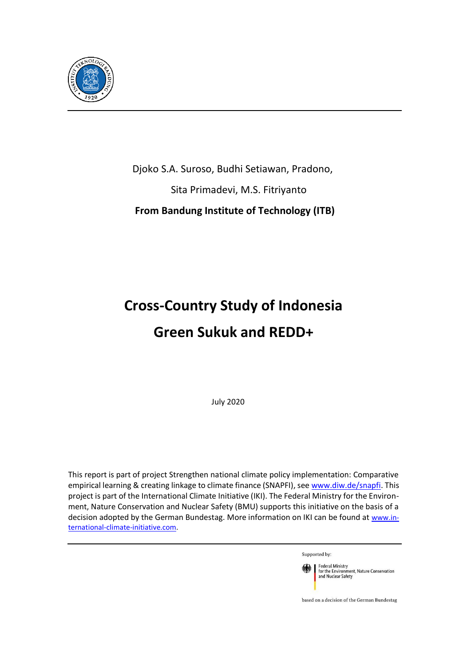

Djoko S.A. Suroso, Budhi Setiawan, Pradono,

Sita Primadevi, M.S. Fitriyanto

 **From Bandung Institute of Technology (ITB)**

# **Cross-Country Study of Indonesia Green Sukuk and REDD+**

July 2020

This report is part of project Strengthen national climate policy implementation: Comparative empirical learning & creating linkage to climate finance (SNAPFI), se[e www.diw.de/snapfi. T](http://www.diw.de/snapfi)his project is part of the International Climate Initiative (IKI). The Federal Ministry for the Environment, Nature Conservation and Nuclear Safety (BMU) supports this initiative on the basis of a decision adopted by the German Bundestag. More information on IKI can be found at [www.in](http://www.international-climate-initiative.com/)[ternational-climate-initiative.com.](http://www.international-climate-initiative.com/)

Supported by:



based on a decision of the German Bundestag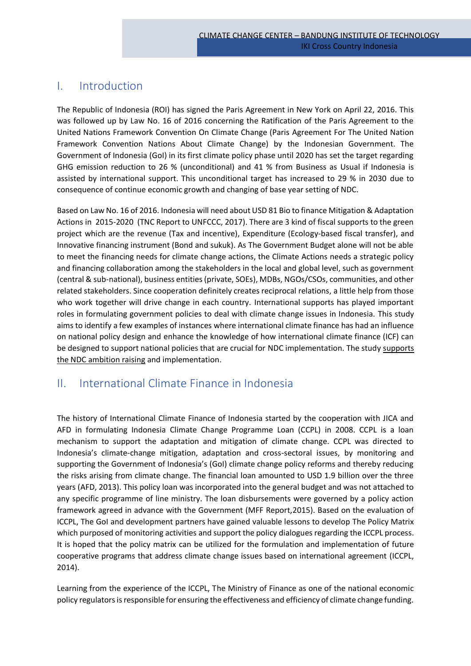# I. Introduction

The Republic of Indonesia (ROI) has signed the Paris Agreement in New York on April 22, 2016. This was followed up by Law No. 16 of 2016 concerning the Ratification of the Paris Agreement to the United Nations Framework Convention On Climate Change (Paris Agreement For The United Nation Framework Convention Nations About Climate Change) by the Indonesian Government. The Government of Indonesia (GoI) in its first climate policy phase until 2020 has set the target regarding GHG emission reduction to 26 % (unconditional) and 41 % from Business as Usual if Indonesia is assisted by international support. This unconditional target has increased to 29 % in 2030 due to consequence of continue economic growth and changing of base year setting of NDC.

Based on Law No. 16 of 2016. Indonesia will need about USD 81 Bio to finance Mitigation & Adaptation Actions in 2015-2020 (TNC Report to UNFCCC, 2017). There are 3 kind of fiscal supports to the green project which are the revenue (Tax and incentive), Expenditure (Ecology-based fiscal transfer), and Innovative financing instrument (Bond and sukuk). As The Government Budget alone will not be able to meet the financing needs for climate change actions, the Climate Actions needs a strategic policy and financing collaboration among the stakeholders in the local and global level, such as government (central & sub-national), business entities (private, SOEs), MDBs, NGOs/CSOs, communities, and other related stakeholders. Since cooperation definitely creates reciprocal relations, a little help from those who work together will drive change in each country. International supports has played important roles in formulating government policies to deal with climate change issues in Indonesia. This study aims to identify a few examples of instances where international climate finance has had an influence on national policy design and enhance the knowledge of how international climate finance (ICF) can be designed to support national policies that are crucial for NDC implementation. The study supports the NDC ambition raising and implementation.

# II. International Climate Finance in Indonesia

The history of International Climate Finance of Indonesia started by the cooperation with JICA and AFD in formulating Indonesia Climate Change Programme Loan (CCPL) in 2008. CCPL is a loan mechanism to support the adaptation and mitigation of climate change. CCPL was directed to Indonesia's climate-change mitigation, adaptation and cross-sectoral issues, by monitoring and supporting the Government of Indonesia's (GoI) climate change policy reforms and thereby reducing the risks arising from climate change. The financial loan amounted to USD 1.9 billion over the three years (AFD, 2013). This policy loan was incorporated into the general budget and was not attached to any specific programme of line ministry. The loan disbursements were governed by a policy action framework agreed in advance with the Government (MFF Report,2015). Based on the evaluation of ICCPL, The GoI and development partners have gained valuable lessons to develop The Policy Matrix which purposed of monitoring activities and support the policy dialogues regarding the ICCPL process. It is hoped that the policy matrix can be utilized for the formulation and implementation of future cooperative programs that address climate change issues based on international agreement (ICCPL, 2014).

Learning from the experience of the ICCPL, The Ministry of Finance as one of the national economic policy regulators is responsible for ensuring the effectiveness and efficiency of climate change funding.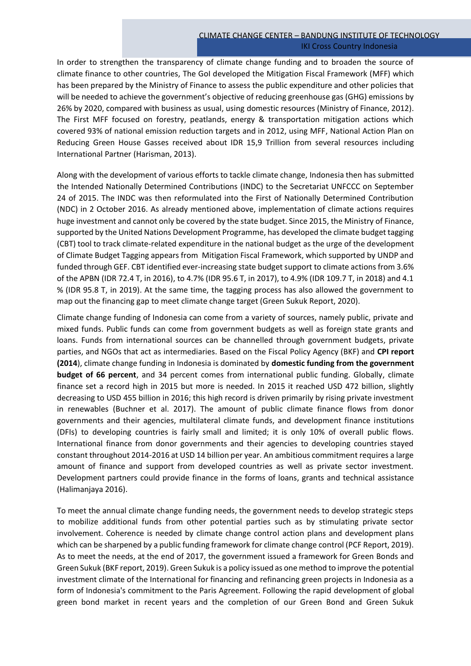In order to strengthen the transparency of climate change funding and to broaden the source of climate finance to other countries, The GoI developed the Mitigation Fiscal Framework (MFF) which has been prepared by the Ministry of Finance to assess the public expenditure and other policies that will be needed to achieve the government's objective of reducing greenhouse gas (GHG) emissions by 26% by 2020, compared with business as usual, using domestic resources (Ministry of Finance, 2012). The First MFF focused on forestry, peatlands, energy & transportation mitigation actions which covered 93% of national emission reduction targets and in 2012, using MFF, National Action Plan on Reducing Green House Gasses received about IDR 15,9 Trillion from several resources including International Partner (Harisman, 2013).

Along with the development of various efforts to tackle climate change, Indonesia then has submitted the Intended Nationally Determined Contributions (INDC) to the Secretariat UNFCCC on September 24 of 2015. The INDC was then reformulated into the First of Nationally Determined Contribution (NDC) in 2 October 2016. As already mentioned above, implementation of climate actions requires huge investment and cannot only be covered by the state budget. Since 2015, the Ministry of Finance, supported by the United Nations Development Programme, has developed the climate budget tagging (CBT) tool to track climate-related expenditure in the national budget as the urge of the development of Climate Budget Tagging appears from Mitigation Fiscal Framework, which supported by UNDP and funded through GEF. CBT identified ever-increasing state budget support to climate actions from 3.6% of the APBN (IDR 72.4 T, in 2016), to 4.7% (IDR 95.6 T, in 2017), to 4.9% (IDR 109.7 T, in 2018) and 4.1 % (IDR 95.8 T, in 2019). At the same time, the tagging process has also allowed the government to map out the financing gap to meet climate change target (Green Sukuk Report, 2020).

Climate change funding of Indonesia can come from a variety of sources, namely public, private and mixed funds. Public funds can come from government budgets as well as foreign state grants and loans. Funds from international sources can be channelled through government budgets, private parties, and NGOs that act as intermediaries. Based on the Fiscal Policy Agency (BKF) and **CPI report (2014**), climate change funding in Indonesia is dominated by **domestic funding from the government budget of 66 percent**, and 34 percent comes from international public funding. Globally, climate finance set a record high in 2015 but more is needed. In 2015 it reached USD 472 billion, slightly decreasing to USD 455 billion in 2016; this high record is driven primarily by rising private investment in renewables (Buchner et al. 2017). The amount of public climate finance flows from donor governments and their agencies, multilateral climate funds, and development finance institutions (DFIs) to developing countries is fairly small and limited; it is only 10% of overall public flows. International finance from donor governments and their agencies to developing countries stayed constant throughout 2014-2016 at USD 14 billion per year. An ambitious commitment requires a large amount of finance and support from developed countries as well as private sector investment. Development partners could provide finance in the forms of loans, grants and technical assistance (Halimanjaya 2016).

To meet the annual climate change funding needs, the government needs to develop strategic steps to mobilize additional funds from other potential parties such as by stimulating private sector involvement. Coherence is needed by climate change control action plans and development plans which can be sharpened by a public funding framework for climate change control (PCF Report, 2019). As to meet the needs, at the end of 2017, the government issued a framework for Green Bonds and Green Sukuk (BKF report, 2019). Green Sukuk is a policy issued as one method to improve the potential investment climate of the International for financing and refinancing green projects in Indonesia as a form of Indonesia's commitment to the Paris Agreement. Following the rapid development of global green bond market in recent years and the completion of our Green Bond and Green Sukuk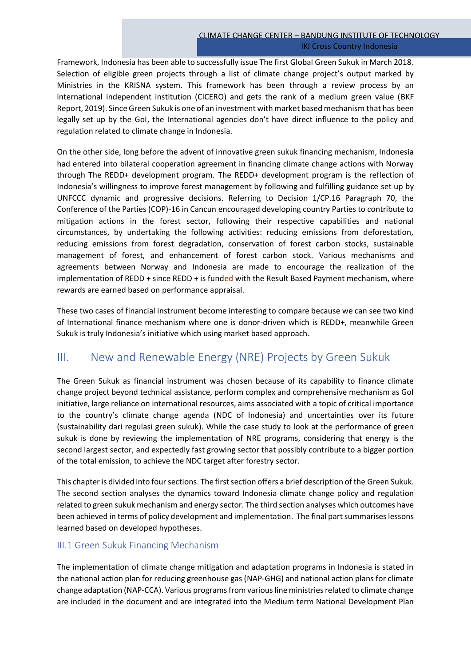Framework, Indonesia has been able to successfully issue The first Global Green Sukuk in March 2018. Selection of eligible green projects through a list of climate change project's output marked by Ministries in the KRISNA system. This framework has been through a review process by an international independent institution (CICERO) and gets the rank of a medium green value (BKF Report, 2019). Since Green Sukuk is one of an investment with market based mechanism that has been legally set up by the GoI, the International agencies don't have direct influence to the policy and regulation related to climate change in Indonesia.

On the other side, long before the advent of innovative green sukuk financing mechanism, Indonesia had entered into bilateral cooperation agreement in financing climate change actions with Norway through The REDD+ development program. The REDD+ development program is the reflection of Indonesia's willingness to improve forest management by following and fulfilling guidance set up by UNFCCC dynamic and progressive decisions. Referring to Decision 1/CP.16 Paragraph 70, the Conference of the Parties (COP)-16 in Cancun encouraged developing country Parties to contribute to mitigation actions in the forest sector, following their respective capabilities and national circumstances, by undertaking the following activities: reducing emissions from deforestation, reducing emissions from forest degradation, conservation of forest carbon stocks, sustainable management of forest, and enhancement of forest carbon stock. Various mechanisms and agreements between Norway and Indonesia are made to encourage the realization of the implementation of REDD + since REDD + is funded with the Result Based Payment mechanism, where rewards are earned based on performance appraisal.

These two cases of financial instrument become interesting to compare because we can see two kind of International finance mechanism where one is donor-driven which is REDD+, meanwhile Green Sukuk is truly Indonesia's initiative which using market based approach.

# III. New and Renewable Energy (NRE) Projects by Green Sukuk

The Green Sukuk as financial instrument was chosen because of its capability to finance climate change project beyond technical assistance, perform complex and comprehensive mechanism as GoI initiative, large reliance on international resources, aims associated with a topic of critical importance to the country's climate change agenda (NDC of Indonesia) and uncertainties over its future (sustainability dari regulasi green sukuk). While the case study to look at the performance of green sukuk is done by reviewing the implementation of NRE programs, considering that energy is the second largest sector, and expectedly fast growing sector that possibly contribute to a bigger portion of the total emission, to achieve the NDC target after forestry sector.

This chapter is divided into four sections. The first section offers a brief description of the Green Sukuk. The second section analyses the dynamics toward Indonesia climate change policy and regulation related to green sukuk mechanism and energy sector. The third section analyses which outcomes have been achieved in terms of policy development and implementation. The final part summarises lessons learned based on developed hypotheses.

# III.1 Green Sukuk Financing Mechanism

The implementation of climate change mitigation and adaptation programs in Indonesia is stated in the national action plan for reducing greenhouse gas (NAP-GHG) and national action plans for climate change adaptation (NAP-CCA). Various programs from various line ministries related to climate change are included in the document and are integrated into the Medium term National Development Plan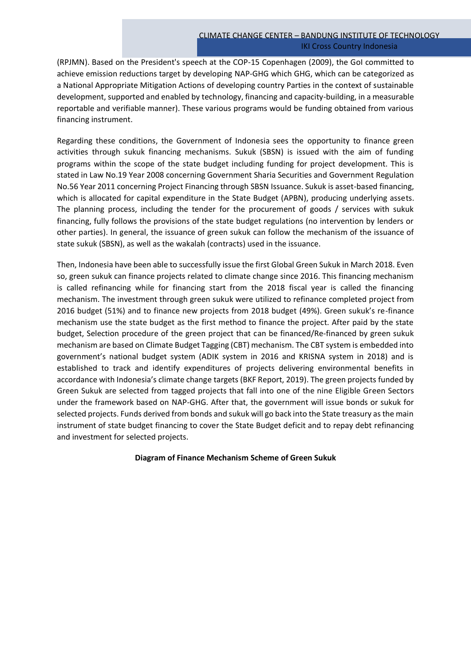(RPJMN). Based on the President's speech at the COP-15 Copenhagen (2009), the GoI committed to achieve emission reductions target by developing NAP-GHG which GHG, which can be categorized as a National Appropriate Mitigation Actions of developing country Parties in the context of sustainable development, supported and enabled by technology, financing and capacity-building, in a measurable reportable and verifiable manner). These various programs would be funding obtained from various financing instrument.

Regarding these conditions, the Government of Indonesia sees the opportunity to finance green activities through sukuk financing mechanisms. Sukuk (SBSN) is issued with the aim of funding programs within the scope of the state budget including funding for project development. This is stated in Law No.19 Year 2008 concerning Government Sharia Securities and Government Regulation No.56 Year 2011 concerning Project Financing through SBSN Issuance. Sukuk is asset-based financing, which is allocated for capital expenditure in the State Budget (APBN), producing underlying assets. The planning process, including the tender for the procurement of goods / services with sukuk financing, fully follows the provisions of the state budget regulations (no intervention by lenders or other parties). In general, the issuance of green sukuk can follow the mechanism of the issuance of state sukuk (SBSN), as well as the wakalah (contracts) used in the issuance.

Then, Indonesia have been able to successfully issue the first Global Green Sukuk in March 2018. Even so, green sukuk can finance projects related to climate change since 2016. This financing mechanism is called refinancing while for financing start from the 2018 fiscal year is called the financing mechanism. The investment through green sukuk were utilized to refinance completed project from 2016 budget (51%) and to finance new projects from 2018 budget (49%). Green sukuk's re-finance mechanism use the state budget as the first method to finance the project. After paid by the state budget, Selection procedure of the green project that can be financed/Re-financed by green sukuk mechanism are based on Climate Budget Tagging (CBT) mechanism. The CBT system is embedded into government's national budget system (ADIK system in 2016 and KRISNA system in 2018) and is established to track and identify expenditures of projects delivering environmental benefits in accordance with Indonesia's climate change targets (BKF Report, 2019). The green projects funded by Green Sukuk are selected from tagged projects that fall into one of the nine Eligible Green Sectors under the framework based on NAP-GHG. After that, the government will issue bonds or sukuk for selected projects. Funds derived from bonds and sukuk will go back into the State treasury as the main instrument of state budget financing to cover the State Budget deficit and to repay debt refinancing and investment for selected projects.

#### **Diagram of Finance Mechanism Scheme of Green Sukuk**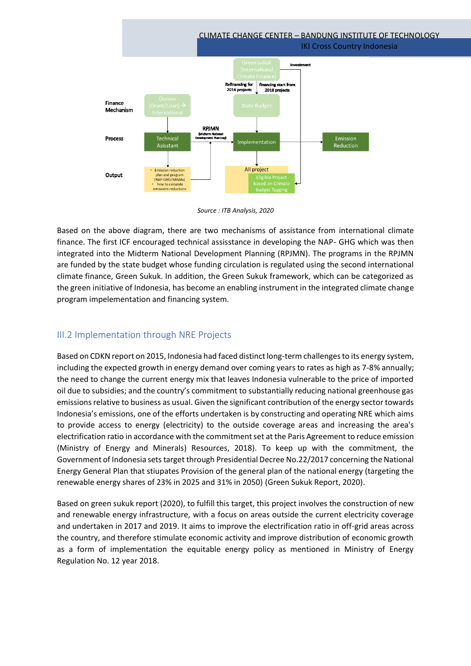

*Source : ITB Analysis, 2020*

Based on the above diagram, there are two mechanisms of assistance from international climate finance. The first ICF encouraged technical assisstance in developing the NAP- GHG which was then integrated into the Midterm National Development Planning (RPJMN). The programs in the RPJMN are funded by the state budget whose funding circulation is regulated using the second international climate finance, Green Sukuk. In addition, the Green Sukuk framework, which can be categorized as the green initiative of Indonesia, has become an enabling instrument in the integrated climate change program impelementation and financing system.

# III.2 Implementation through NRE Projects

Based on CDKN report on 2015, Indonesia had faced distinct long-term challenges to its energy system, including the expected growth in energy demand over coming years to rates as high as 7-8% annually; the need to change the current energy mix that leaves Indonesia vulnerable to the price of imported oil due to subsidies; and the country's commitment to substantially reducing national greenhouse gas emissions relative to business as usual. Given the significant contribution of the energy sector towards Indonesia's emissions, one of the efforts undertaken is by constructing and operating NRE which aims to provide access to energy (electricity) to the outside coverage areas and increasing the area's electrification ratio in accordance with the commitment set at the Paris Agreement to reduce emission (Ministry of Energy and Minerals) Resources, 2018). To keep up with the commitment, the Government of Indonesia sets target through Presidential Decree No.22/2017 concerning the National Energy General Plan that stiupates Provision of the general plan of the national energy (targeting the renewable energy shares of 23% in 2025 and 31% in 2050) (Green Sukuk Report, 2020).

Based on green sukuk report (2020), to fulfill this target, this project involves the construction of new and renewable energy infrastructure, with a focus on areas outside the current electricity coverage and undertaken in 2017 and 2019. It aims to improve the electrification ratio in off-grid areas across the country, and therefore stimulate economic activity and improve distribution of economic growth as a form of implementation the equitable energy policy as mentioned in Ministry of Energy Regulation No. 12 year 2018.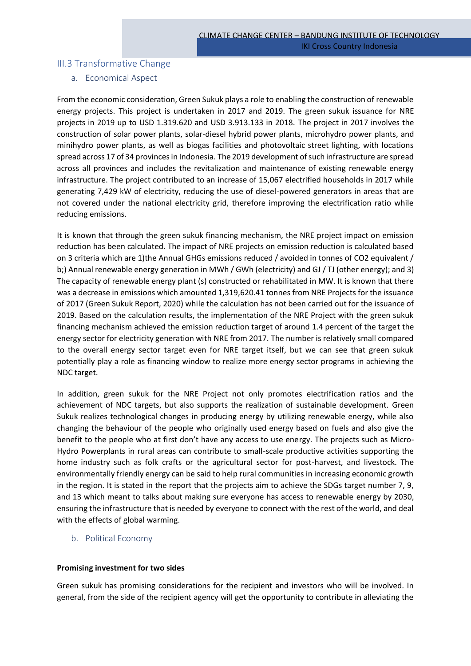# III.3 Transformative Change

# a. Economical Aspect

From the economic consideration, Green Sukuk plays a role to enabling the construction of renewable energy projects. This project is undertaken in 2017 and 2019. The green sukuk issuance for NRE projects in 2019 up to USD 1.319.620 and USD 3.913.133 in 2018. The project in 2017 involves the construction of solar power plants, solar-diesel hybrid power plants, microhydro power plants, and minihydro power plants, as well as biogas facilities and photovoltaic street lighting, with locations spread across 17 of 34 provinces in Indonesia. The 2019 development of such infrastructure are spread across all provinces and includes the revitalization and maintenance of existing renewable energy infrastructure. The project contributed to an increase of 15,067 electrified households in 2017 while generating 7,429 kW of electricity, reducing the use of diesel-powered generators in areas that are not covered under the national electricity grid, therefore improving the electrification ratio while reducing emissions.

It is known that through the green sukuk financing mechanism, the NRE project impact on emission reduction has been calculated. The impact of NRE projects on emission reduction is calculated based on 3 criteria which are 1)the Annual GHGs emissions reduced / avoided in tonnes of CO2 equivalent / b;) Annual renewable energy generation in MWh / GWh (electricity) and GJ / TJ (other energy); and 3) The capacity of renewable energy plant (s) constructed or rehabilitated in MW. It is known that there was a decrease in emissions which amounted 1,319,620.41 tonnes from NRE Projects for the issuance of 2017 (Green Sukuk Report, 2020) while the calculation has not been carried out for the issuance of 2019. Based on the calculation results, the implementation of the NRE Project with the green sukuk financing mechanism achieved the emission reduction target of around 1.4 percent of the target the energy sector for electricity generation with NRE from 2017. The number is relatively small compared to the overall energy sector target even for NRE target itself, but we can see that green sukuk potentially play a role as financing window to realize more energy sector programs in achieving the NDC target.

In addition, green sukuk for the NRE Project not only promotes electrification ratios and the achievement of NDC targets, but also supports the realization of sustainable development. Green Sukuk realizes technological changes in producing energy by utilizing renewable energy, while also changing the behaviour of the people who originally used energy based on fuels and also give the benefit to the people who at first don't have any access to use energy. The projects such as Micro-Hydro Powerplants in rural areas can contribute to small-scale productive activities supporting the home industry such as folk crafts or the agricultural sector for post-harvest, and livestock. The environmentally friendly energy can be said to help rural communities in increasing economic growth in the region. It is stated in the report that the projects aim to achieve the SDGs target number 7, 9, and 13 which meant to talks about making sure everyone has access to renewable energy by 2030, ensuring the infrastructure that is needed by everyone to connect with the rest of the world, and deal with the effects of global warming.

b. Political Economy

# **Promising investment for two sides**

Green sukuk has promising considerations for the recipient and investors who will be involved. In general, from the side of the recipient agency will get the opportunity to contribute in alleviating the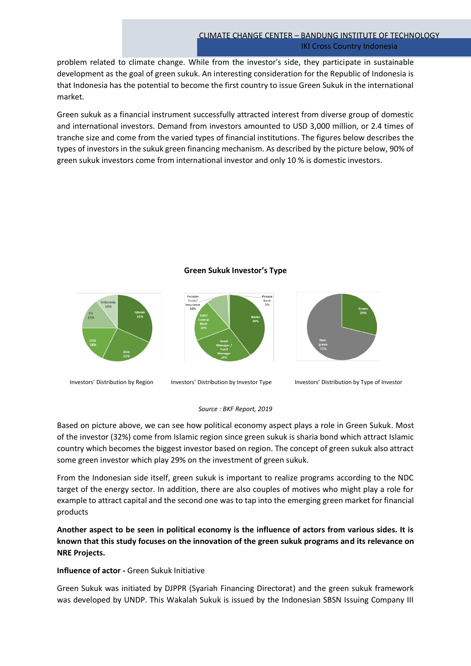problem related to climate change. While from the investor's side, they participate in sustainable development as the goal of green sukuk. An interesting consideration for the Republic of Indonesia is that Indonesia has the potential to become the first country to issue Green Sukuk in the international market.

Green sukuk as a financial instrument successfully attracted interest from diverse group of domestic and international investors. Demand from investors amounted to USD 3,000 million, or 2.4 times of tranche size and come from the varied types of financial institutions. The figures below describes the types of investors in the sukuk green financing mechanism. As described by the picture below, 90% of green sukuk investors come from international investor and only 10 % is domestic investors.

# **Green Sukuk Investor's Type**



Investors' Distribution by Region Investors' Distribution by Investor Type Investors' Distribution by Type of Investor

#### *Source : BKF Report, 2019*

Based on picture above, we can see how political economy aspect plays a role in Green Sukuk. Most of the investor (32%) come from Islamic region since green sukuk is sharia bond which attract Islamic country which becomes the biggest investor based on region. The concept of green sukuk also attract some green investor which play 29% on the investment of green sukuk.

From the Indonesian side itself, green sukuk is important to realize programs according to the NDC target of the energy sector. In addition, there are also couples of motives who might play a role for example to attract capital and the second one was to tap into the emerging green market for financial products

**Another aspect to be seen in political economy is the influence of actors from various sides. It is known that this study focuses on the innovation of the green sukuk programs and its relevance on NRE Projects.**

# **Influence of actor -** Green Sukuk Initiative

Green Sukuk was initiated by DJPPR (Syariah Financing Directorat) and the green sukuk framework was developed by UNDP. This Wakalah Sukuk is issued by the Indonesian SBSN Issuing Company III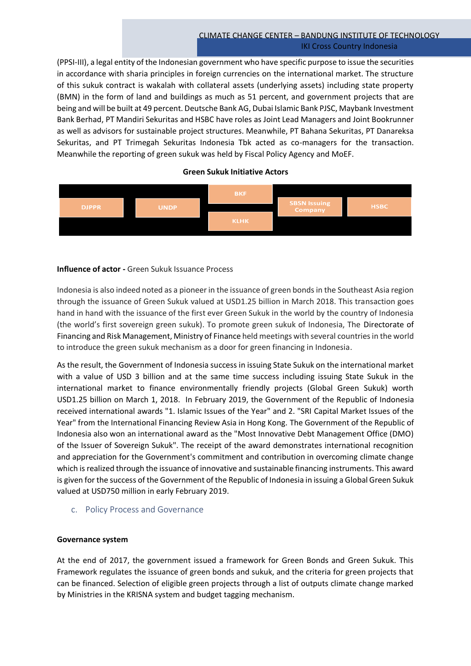(PPSI-III), a legal entity of the Indonesian government who have specific purpose to issue the securities in accordance with sharia principles in foreign currencies on the international market. The structure of this sukuk contract is wakalah with collateral assets (underlying assets) including state property (BMN) in the form of land and buildings as much as 51 percent, and government projects that are being and will be built at 49 percent. Deutsche Bank AG, Dubai Islamic Bank PJSC, Maybank Investment Bank Berhad, PT Mandiri Sekuritas and HSBC have roles as Joint Lead Managers and Joint Bookrunner as well as advisors for sustainable project structures. Meanwhile, PT Bahana Sekuritas, PT Danareksa Sekuritas, and PT Trimegah Sekuritas Indonesia Tbk acted as co-managers for the transaction. Meanwhile the reporting of green sukuk was held by Fiscal Policy Agency and MoEF.

#### **Green Sukuk Initiative Actors**



# **Influence of actor -** Green Sukuk Issuance Process

Indonesia is also indeed noted as a pioneer in the issuance of green bonds in the Southeast Asia region through the issuance of Green Sukuk valued at USD1.25 billion in March 2018. This transaction goes hand in hand with the issuance of the first ever Green Sukuk in the world by the country of Indonesia (the world's first sovereign green sukuk). To promote green sukuk of Indonesia, The Directorate of Financing and Risk Management, Ministry of Finance held meetings with several countries in the world to introduce the green sukuk mechanism as a door for green financing in Indonesia.

As the result, the Government of Indonesia success in issuing State Sukuk on the international market with a value of USD 3 billion and at the same time success including issuing State Sukuk in the international market to finance environmentally friendly projects (Global Green Sukuk) worth USD1.25 billion on March 1, 2018. In February 2019, the Government of the Republic of Indonesia received international awards "1. Islamic Issues of the Year" and 2. "SRI Capital Market Issues of the Year" from the International Financing Review Asia in Hong Kong. The Government of the Republic of Indonesia also won an international award as the "Most Innovative Debt Management Office (DMO) of the Issuer of Sovereign Sukuk". The receipt of the award demonstrates international recognition and appreciation for the Government's commitment and contribution in overcoming climate change which is realized through the issuance of innovative and sustainable financing instruments. This award is given for the success of the Government of the Republic of Indonesia in issuing a Global Green Sukuk valued at USD750 million in early February 2019.

c. Policy Process and Governance

# **Governance system**

At the end of 2017, the government issued a framework for Green Bonds and Green Sukuk. This Framework regulates the issuance of green bonds and sukuk, and the criteria for green projects that can be financed. Selection of eligible green projects through a list of outputs climate change marked by Ministries in the KRISNA system and budget tagging mechanism.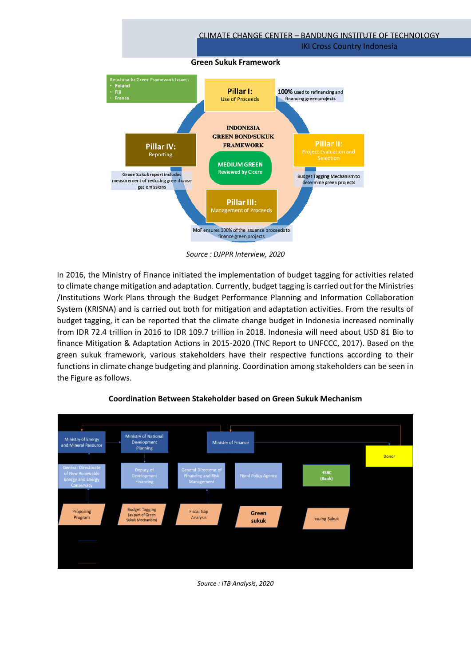

*Source : DJPPR Interview, 2020*

In 2016, the Ministry of Finance initiated the implementation of budget tagging for activities related to climate change mitigation and adaptation. Currently, budget tagging is carried out for the Ministries /Institutions Work Plans through the Budget Performance Planning and Information Collaboration System (KRISNA) and is carried out both for mitigation and adaptation activities. From the results of budget tagging, it can be reported that the climate change budget in Indonesia increased nominally from IDR 72.4 trillion in 2016 to IDR 109.7 trillion in 2018. Indonesia will need about USD 81 Bio to finance Mitigation & Adaptation Actions in 2015-2020 (TNC Report to UNFCCC, 2017). Based on the green sukuk framework, various stakeholders have their respective functions according to their functions in climate change budgeting and planning. Coordination among stakeholders can be seen in the Figure as follows.



# **Coordination Between Stakeholder based on Green Sukuk Mechanism**

*Source : ITB Analysis, 2020*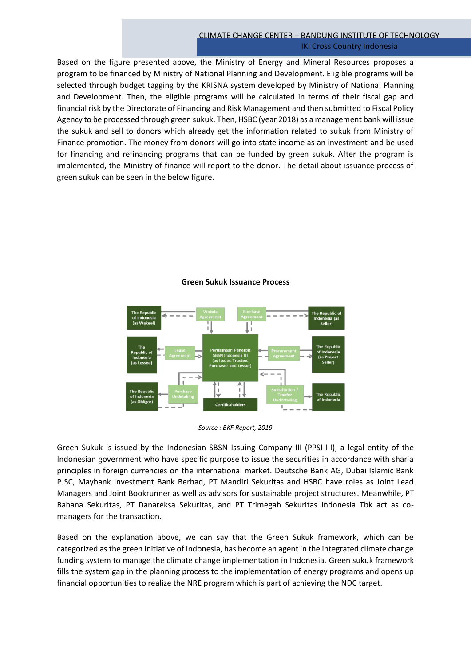Based on the figure presented above, the Ministry of Energy and Mineral Resources proposes a program to be financed by Ministry of National Planning and Development. Eligible programs will be selected through budget tagging by the KRISNA system developed by Ministry of National Planning and Development. Then, the eligible programs will be calculated in terms of their fiscal gap and financial risk by the Directorate of Financing and Risk Management and then submitted to Fiscal Policy Agency to be processed through green sukuk. Then, HSBC (year 2018) as a management bank will issue the sukuk and sell to donors which already get the information related to sukuk from Ministry of Finance promotion. The money from donors will go into state income as an investment and be used for financing and refinancing programs that can be funded by green sukuk. After the program is implemented, the Ministry of finance will report to the donor. The detail about issuance process of green sukuk can be seen in the below figure.



# **Green Sukuk Issuance Process**

Green Sukuk is issued by the Indonesian SBSN Issuing Company III (PPSI-III), a legal entity of the Indonesian government who have specific purpose to issue the securities in accordance with sharia principles in foreign currencies on the international market. Deutsche Bank AG, Dubai Islamic Bank PJSC, Maybank Investment Bank Berhad, PT Mandiri Sekuritas and HSBC have roles as Joint Lead Managers and Joint Bookrunner as well as advisors for sustainable project structures. Meanwhile, PT Bahana Sekuritas, PT Danareksa Sekuritas, and PT Trimegah Sekuritas Indonesia Tbk act as comanagers for the transaction.

Based on the explanation above, we can say that the Green Sukuk framework, which can be categorized as the green initiative of Indonesia, has become an agent in the integrated climate change funding system to manage the climate change implementation in Indonesia. Green sukuk framework fills the system gap in the planning process to the implementation of energy programs and opens up financial opportunities to realize the NRE program which is part of achieving the NDC target.

*Source : BKF Report, 2019*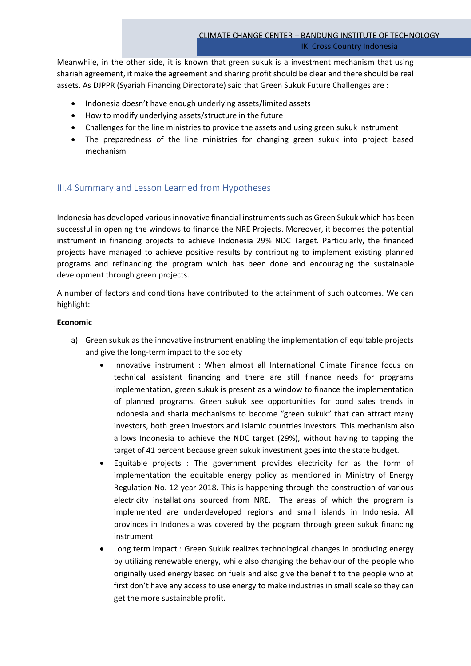Meanwhile, in the other side, it is known that green sukuk is a investment mechanism that using shariah agreement, it make the agreement and sharing profit should be clear and there should be real assets. As DJPPR (Syariah Financing Directorate) said that Green Sukuk Future Challenges are :

- Indonesia doesn't have enough underlying assets/limited assets
- How to modify underlying assets/structure in the future
- Challenges for the line ministries to provide the assets and using green sukuk instrument
- The preparedness of the line ministries for changing green sukuk into project based mechanism

# III.4 Summary and Lesson Learned from Hypotheses

Indonesia has developed various innovative financial instruments such as Green Sukuk which has been successful in opening the windows to finance the NRE Projects. Moreover, it becomes the potential instrument in financing projects to achieve Indonesia 29% NDC Target. Particularly, the financed projects have managed to achieve positive results by contributing to implement existing planned programs and refinancing the program which has been done and encouraging the sustainable development through green projects.

A number of factors and conditions have contributed to the attainment of such outcomes. We can highlight:

# **Economic**

- a) Green sukuk as the innovative instrument enabling the implementation of equitable projects and give the long-term impact to the society
	- Innovative instrument : When almost all International Climate Finance focus on technical assistant financing and there are still finance needs for programs implementation, green sukuk is present as a window to finance the implementation of planned programs. Green sukuk see opportunities for bond sales trends in Indonesia and sharia mechanisms to become "green sukuk" that can attract many investors, both green investors and Islamic countries investors. This mechanism also allows Indonesia to achieve the NDC target (29%), without having to tapping the target of 41 percent because green sukuk investment goes into the state budget.
	- Equitable projects : The government provides electricity for as the form of implementation the equitable energy policy as mentioned in Ministry of Energy Regulation No. 12 year 2018. This is happening through the construction of various electricity installations sourced from NRE. The areas of which the program is implemented are underdeveloped regions and small islands in Indonesia. All provinces in Indonesia was covered by the pogram through green sukuk financing instrument
	- Long term impact : Green Sukuk realizes technological changes in producing energy by utilizing renewable energy, while also changing the behaviour of the people who originally used energy based on fuels and also give the benefit to the people who at first don't have any access to use energy to make industries in small scale so they can get the more sustainable profit.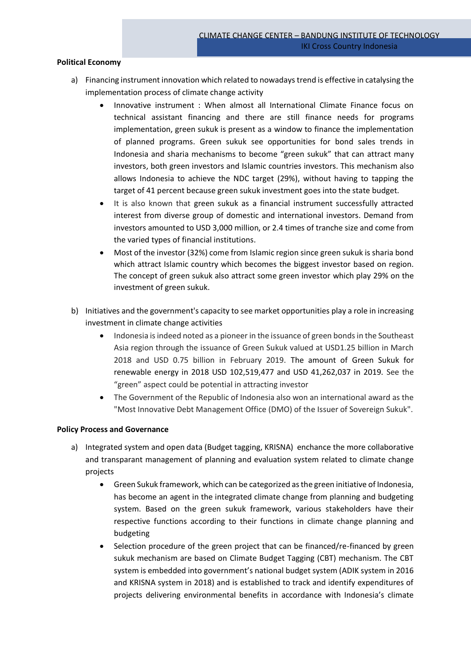#### **Political Economy**

- a) Financing instrument innovation which related to nowadays trend is effective in catalysing the implementation process of climate change activity
	- Innovative instrument : When almost all International Climate Finance focus on technical assistant financing and there are still finance needs for programs implementation, green sukuk is present as a window to finance the implementation of planned programs. Green sukuk see opportunities for bond sales trends in Indonesia and sharia mechanisms to become "green sukuk" that can attract many investors, both green investors and Islamic countries investors. This mechanism also allows Indonesia to achieve the NDC target (29%), without having to tapping the target of 41 percent because green sukuk investment goes into the state budget.
	- It is also known that green sukuk as a financial instrument successfully attracted interest from diverse group of domestic and international investors. Demand from investors amounted to USD 3,000 million, or 2.4 times of tranche size and come from the varied types of financial institutions.
	- Most of the investor (32%) come from Islamic region since green sukuk is sharia bond which attract Islamic country which becomes the biggest investor based on region. The concept of green sukuk also attract some green investor which play 29% on the investment of green sukuk.
- b) Initiatives and the government's capacity to see market opportunities play a role in increasing investment in climate change activities
	- Indonesia is indeed noted as a pioneer in the issuance of green bonds in the Southeast Asia region through the issuance of Green Sukuk valued at USD1.25 billion in March 2018 and USD 0.75 billion in February 2019. The amount of Green Sukuk for renewable energy in 2018 USD 102,519,477 and USD 41,262,037 in 2019. See the "green" aspect could be potential in attracting investor
	- The Government of the Republic of Indonesia also won an international award as the "Most Innovative Debt Management Office (DMO) of the Issuer of Sovereign Sukuk".

#### **Policy Process and Governance**

- a) Integrated system and open data (Budget tagging, KRISNA) enchance the more collaborative and transparant management of planning and evaluation system related to climate change projects
	- Green Sukuk framework, which can be categorized as the green initiative of Indonesia, has become an agent in the integrated climate change from planning and budgeting system. Based on the green sukuk framework, various stakeholders have their respective functions according to their functions in climate change planning and budgeting
	- Selection procedure of the green project that can be financed/re-financed by green sukuk mechanism are based on Climate Budget Tagging (CBT) mechanism. The CBT system is embedded into government's national budget system (ADIK system in 2016 and KRISNA system in 2018) and is established to track and identify expenditures of projects delivering environmental benefits in accordance with Indonesia's climate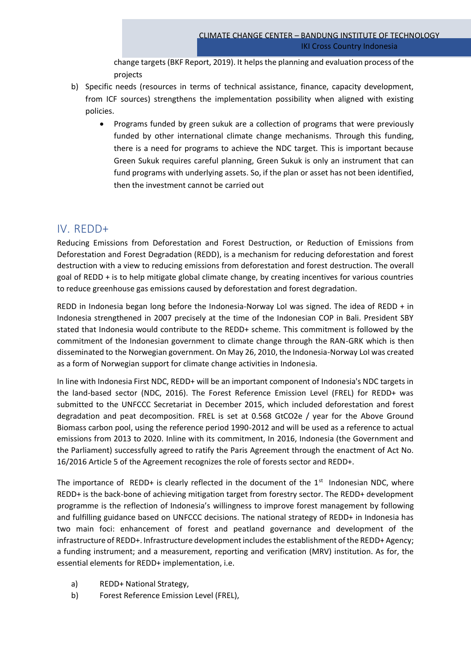change targets (BKF Report, 2019). It helps the planning and evaluation process of the projects

- b) Specific needs (resources in terms of technical assistance, finance, capacity development, from ICF sources) strengthens the implementation possibility when aligned with existing policies.
	- Programs funded by green sukuk are a collection of programs that were previously funded by other international climate change mechanisms. Through this funding, there is a need for programs to achieve the NDC target. This is important because Green Sukuk requires careful planning, Green Sukuk is only an instrument that can fund programs with underlying assets. So, if the plan or asset has not been identified, then the investment cannot be carried out

# IV. REDD+

Reducing Emissions from Deforestation and Forest Destruction, or Reduction of Emissions from Deforestation and Forest Degradation (REDD), is a mechanism for reducing deforestation and forest destruction with a view to reducing emissions from deforestation and forest destruction. The overall goal of REDD + is to help mitigate global climate change, by creating incentives for various countries to reduce greenhouse gas emissions caused by deforestation and forest degradation.

REDD in Indonesia began long before the Indonesia-Norway LoI was signed. The idea of REDD + in Indonesia strengthened in 2007 precisely at the time of the Indonesian COP in Bali. President SBY stated that Indonesia would contribute to the REDD+ scheme. This commitment is followed by the commitment of the Indonesian government to climate change through the RAN-GRK which is then disseminated to the Norwegian government. On May 26, 2010, the Indonesia-Norway LoI was created as a form of Norwegian support for climate change activities in Indonesia.

In line with Indonesia First NDC, REDD+ will be an important component of Indonesia's NDC targets in the land-based sector (NDC, 2016). The Forest Reference Emission Level (FREL) for REDD+ was submitted to the UNFCCC Secretariat in December 2015, which included deforestation and forest degradation and peat decomposition. FREL is set at 0.568 GtCO2e / year for the Above Ground Biomass carbon pool, using the reference period 1990-2012 and will be used as a reference to actual emissions from 2013 to 2020. Inline with its commitment, In 2016, Indonesia (the Government and the Parliament) successfully agreed to ratify the Paris Agreement through the enactment of Act No. 16/2016 Article 5 of the Agreement recognizes the role of forests sector and REDD+.

The importance of REDD+ is clearly reflected in the document of the  $1<sup>st</sup>$  Indonesian NDC, where REDD+ is the back-bone of achieving mitigation target from forestry sector. The REDD+ development programme is the reflection of Indonesia's willingness to improve forest management by following and fulfilling guidance based on UNFCCC decisions. The national strategy of REDD+ in Indonesia has two main foci: enhancement of forest and peatland governance and development of the infrastructure of REDD+. Infrastructure development includes the establishment of the REDD+ Agency; a funding instrument; and a measurement, reporting and verification (MRV) institution. As for, the essential elements for REDD+ implementation, i.e.

- a) REDD+ National Strategy,
- b) Forest Reference Emission Level (FREL),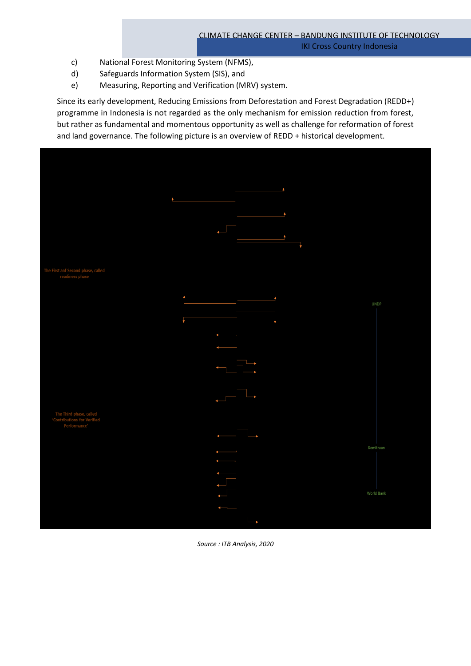- c) National Forest Monitoring System (NFMS),
- d) Safeguards Information System (SIS), and
- e) Measuring, Reporting and Verification (MRV) system.

Since its early development, Reducing Emissions from Deforestation and Forest Degradation (REDD+) programme in Indonesia is not regarded as the only mechanism for emission reduction from forest, but rather as fundamental and momentous opportunity as well as challenge for reformation of forest and land governance. The following picture is an overview of REDD + historical development.



*Source : ITB Analysis, 2020*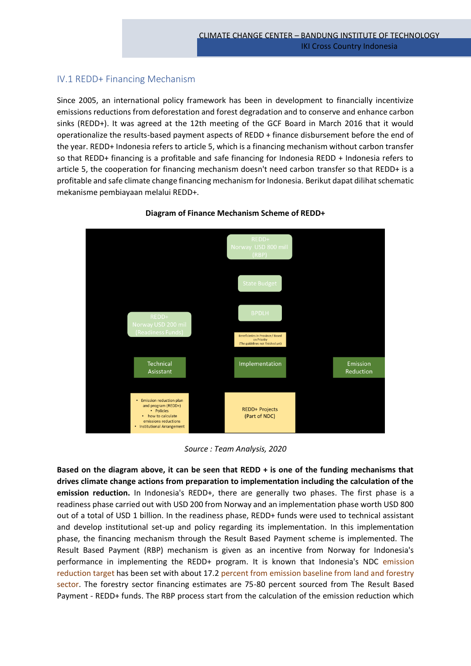# IV.1 REDD+ Financing Mechanism

Since 2005, an international policy framework has been in development to financially incentivize emissions reductions from deforestation and forest degradation and to conserve and enhance carbon sinks (REDD+). It was agreed at the 12th meeting of the GCF Board in March 2016 that it would operationalize the results-based payment aspects of REDD + finance disbursement before the end of the year. REDD+ Indonesia refers to article 5, which is a financing mechanism without carbon transfer so that REDD+ financing is a profitable and safe financing for Indonesia REDD + Indonesia refers to article 5, the cooperation for financing mechanism doesn't need carbon transfer so that REDD+ is a profitable and safe climate change financing mechanism for Indonesia. Berikut dapat dilihat schematic mekanisme pembiayaan melalui REDD+.



# **Diagram of Finance Mechanism Scheme of REDD+**

*Source : Team Analysis, 2020*

**Based on the diagram above, it can be seen that REDD + is one of the funding mechanisms that drives climate change actions from preparation to implementation including the calculation of the emission reduction.** In Indonesia's REDD+, there are generally two phases. The first phase is a readiness phase carried out with USD 200 from Norway and an implementation phase worth USD 800 out of a total of USD 1 billion. In the readiness phase, REDD+ funds were used to technical assistant and develop institutional set-up and policy regarding its implementation. In this implementation phase, the financing mechanism through the Result Based Payment scheme is implemented. The Result Based Payment (RBP) mechanism is given as an incentive from Norway for Indonesia's performance in implementing the REDD+ program. It is known that Indonesia's NDC emission reduction target has been set with about 17.2 percent from emission baseline from land and forestry sector. The forestry sector financing estimates are 75-80 percent sourced from The Result Based Payment - REDD+ funds. The RBP process start from the calculation of the emission reduction which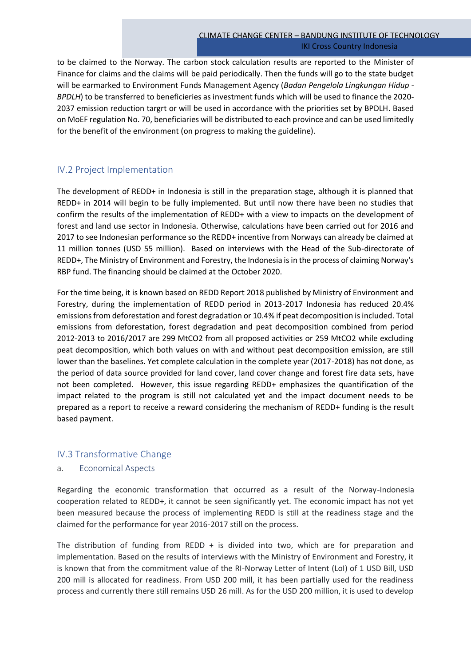to be claimed to the Norway. The carbon stock calculation results are reported to the Minister of Finance for claims and the claims will be paid periodically. Then the funds will go to the state budget will be earmarked to Environment Funds Management Agency (*Badan Pengelola Lingkungan Hidup - BPDLH*) to be transferred to beneficieries as investment funds which will be used to finance the 2020-2037 emission reduction targrt or will be used in accordance with the priorities set by BPDLH. Based on MoEF regulation No. 70, beneficiaries will be distributed to each province and can be used limitedly for the benefit of the environment (on progress to making the guideline).

# IV.2 Project Implementation

The development of REDD+ in Indonesia is still in the preparation stage, although it is planned that REDD+ in 2014 will begin to be fully implemented. But until now there have been no studies that confirm the results of the implementation of REDD+ with a view to impacts on the development of forest and land use sector in Indonesia. Otherwise, calculations have been carried out for 2016 and 2017 to see Indonesian performance so the REDD+ incentive from Norways can already be claimed at 11 million tonnes (USD 55 million). Based on interviews with the Head of the Sub-directorate of REDD+, The Ministry of Environment and Forestry, the Indonesia is in the process of claiming Norway's RBP fund. The financing should be claimed at the October 2020.

For the time being, it is known based on REDD Report 2018 published by Ministry of Environment and Forestry, during the implementation of REDD period in 2013-2017 Indonesia has reduced 20.4% emissions from deforestation and forest degradation or 10.4% if peat decomposition is included. Total emissions from deforestation, forest degradation and peat decomposition combined from period 2012-2013 to 2016/2017 are 299 MtCO2 from all proposed activities or 259 MtCO2 while excluding peat decomposition, which both values on with and without peat decomposition emission, are still lower than the baselines. Yet complete calculation in the complete year (2017-2018) has not done, as the period of data source provided for land cover, land cover change and forest fire data sets, have not been completed. However, this issue regarding REDD+ emphasizes the quantification of the impact related to the program is still not calculated yet and the impact document needs to be prepared as a report to receive a reward considering the mechanism of REDD+ funding is the result based payment.

# IV.3 Transformative Change

# a. Economical Aspects

Regarding the economic transformation that occurred as a result of the Norway-Indonesia cooperation related to REDD+, it cannot be seen significantly yet. The economic impact has not yet been measured because the process of implementing REDD is still at the readiness stage and the claimed for the performance for year 2016-2017 still on the process.

The distribution of funding from REDD  $+$  is divided into two, which are for preparation and implementation. Based on the results of interviews with the Ministry of Environment and Forestry, it is known that from the commitment value of the RI-Norway Letter of Intent (LoI) of 1 USD Bill, USD 200 mill is allocated for readiness. From USD 200 mill, it has been partially used for the readiness process and currently there still remains USD 26 mill. As for the USD 200 million, it is used to develop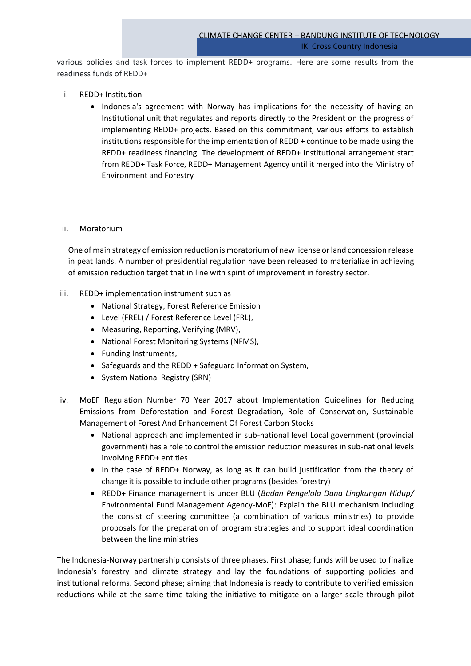various policies and task forces to implement REDD+ programs. Here are some results from the readiness funds of REDD+

- i. REDD+ Institution
	- Indonesia's agreement with Norway has implications for the necessity of having an Institutional unit that regulates and reports directly to the President on the progress of implementing REDD+ projects. Based on this commitment, various efforts to establish institutions responsible for the implementation of REDD + continue to be made using the REDD+ readiness financing. The development of REDD+ Institutional arrangement start from REDD+ Task Force, REDD+ Management Agency until it merged into the Ministry of Environment and Forestry

# ii. Moratorium

One of main strategy of emission reduction is moratorium of new license or land concession release in peat lands. A number of presidential regulation have been released to materialize in achieving of emission reduction target that in line with spirit of improvement in forestry sector.

- iii. REDD+ implementation instrument such as
	- National Strategy, Forest Reference Emission
	- Level (FREL) / Forest Reference Level (FRL),
	- Measuring, Reporting, Verifying (MRV),
	- National Forest Monitoring Systems (NFMS),
	- Funding Instruments,
	- Safeguards and the REDD + Safeguard Information System,
	- System National Registry (SRN)
- iv. MoEF Regulation Number 70 Year 2017 about Implementation Guidelines for Reducing Emissions from Deforestation and Forest Degradation, Role of Conservation, Sustainable Management of Forest And Enhancement Of Forest Carbon Stocks
	- National approach and implemented in sub-national level Local government (provincial government) has a role to control the emission reduction measures in sub-national levels involving REDD+ entities
	- In the case of REDD+ Norway, as long as it can build justification from the theory of change it is possible to include other programs (besides forestry)
	- REDD+ Finance management is under BLU (*Badan Pengelola Dana Lingkungan Hidup/* Environmental Fund Management Agency-MoF): Explain the BLU mechanism including the consist of steering committee (a combination of various ministries) to provide proposals for the preparation of program strategies and to support ideal coordination between the line ministries

The Indonesia-Norway partnership consists of three phases. First phase; funds will be used to finalize Indonesia's forestry and climate strategy and lay the foundations of supporting policies and institutional reforms. Second phase; aiming that Indonesia is ready to contribute to verified emission reductions while at the same time taking the initiative to mitigate on a larger scale through pilot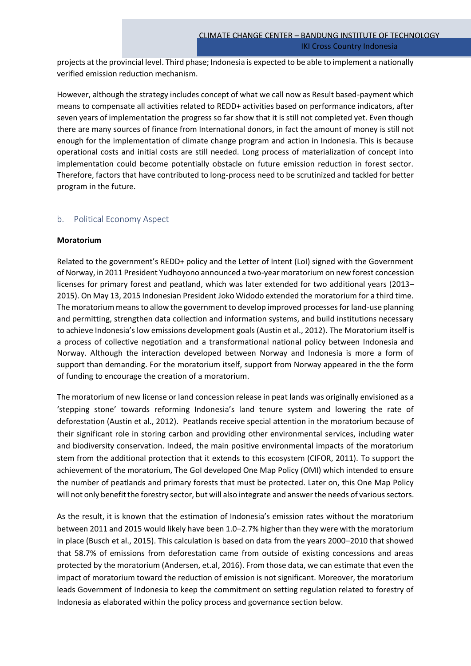projects at the provincial level. Third phase; Indonesia is expected to be able to implement a nationally verified emission reduction mechanism.

However, although the strategy includes concept of what we call now as Result based-payment which means to compensate all activities related to REDD+ activities based on performance indicators, after seven years of implementation the progress so far show that it is still not completed yet. Even though there are many sources of finance from International donors, in fact the amount of money is still not enough for the implementation of climate change program and action in Indonesia. This is because operational costs and initial costs are still needed. Long process of materialization of concept into implementation could become potentially obstacle on future emission reduction in forest sector. Therefore, factors that have contributed to long-process need to be scrutinized and tackled for better program in the future.

# b. Political Economy Aspect

#### **Moratorium**

Related to the government's REDD+ policy and the Letter of Intent (LoI) signed with the Government of Norway, in 2011 President Yudhoyono announced a two-year moratorium on new forest concession licenses for primary forest and peatland, which was later extended for two additional years (2013– 2015). On May 13, 2015 Indonesian President Joko Widodo extended the moratorium for a third time. The moratorium means to allow the government to develop improved processes for land-use planning and permitting, strengthen data collection and information systems, and build institutions necessary to achieve Indonesia's low emissions development goals (Austin et al., 2012). The Moratorium itself is a process of collective negotiation and a transformational national policy between Indonesia and Norway. Although the interaction developed between Norway and Indonesia is more a form of support than demanding. For the moratorium itself, support from Norway appeared in the the form of funding to encourage the creation of a moratorium.

The moratorium of new license or land concession release in peat lands was originally envisioned as a 'stepping stone' towards reforming Indonesia's land tenure system and lowering the rate of deforestation (Austin et al., 2012). Peatlands receive special attention in the moratorium because of their significant role in storing carbon and providing other environmental services, including water and biodiversity conservation. Indeed, the main positive environmental impacts of the moratorium stem from the additional protection that it extends to this ecosystem (CIFOR, 2011). To support the achievement of the moratorium, The GoI developed One Map Policy (OMI) which intended to ensure the number of peatlands and primary forests that must be protected. Later on, this One Map Policy will not only benefit the forestry sector, but will also integrate and answer the needs of various sectors.

As the result, it is known that the estimation of Indonesia's emission rates without the moratorium between 2011 and 2015 would likely have been 1.0–2.7% higher than they were with the moratorium in place (Busch et al., 2015). This calculation is based on data from the years 2000–2010 that showed that 58.7% of emissions from deforestation came from outside of existing concessions and areas protected by the moratorium (Andersen, et.al, 2016). From those data, we can estimate that even the impact of moratorium toward the reduction of emission is not significant. Moreover, the moratorium leads Government of Indonesia to keep the commitment on setting regulation related to forestry of Indonesia as elaborated within the policy process and governance section below.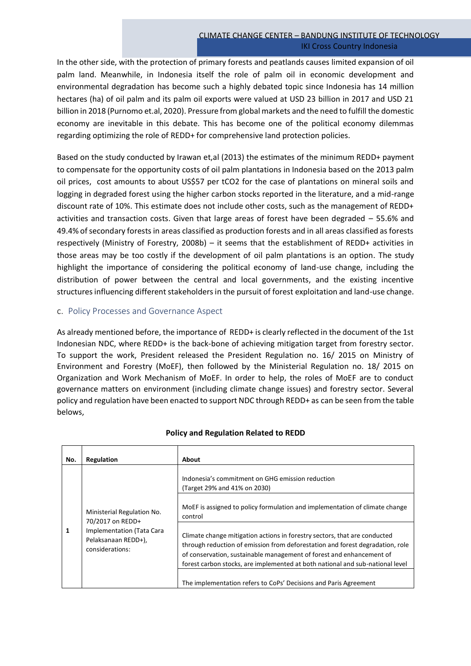In the other side, with the protection of primary forests and peatlands causes limited expansion of oil palm land. Meanwhile, in Indonesia itself the role of palm oil in economic development and environmental degradation has become such a highly debated topic since Indonesia has 14 million hectares (ha) of oil palm and its palm oil exports were valued at USD 23 billion in 2017 and USD 21 billion in 2018 (Purnomo et.al, 2020). Pressure from global markets and the need to fulfill the domestic economy are inevitable in this debate. This has become one of the political economy dilemmas regarding optimizing the role of REDD+ for comprehensive land protection policies.

Based on the study conducted by Irawan et,al (2013) the estimates of the minimum REDD+ payment to compensate for the opportunity costs of oil palm plantations in Indonesia based on the 2013 palm oil prices, cost amounts to about US\$57 per tCO2 for the case of plantations on mineral soils and logging in degraded forest using the higher carbon stocks reported in the literature, and a mid-range discount rate of 10%. This estimate does not include other costs, such as the management of REDD+ activities and transaction costs. Given that large areas of forest have been degraded – 55.6% and 49.4% of secondary forests in areas classified as production forests and in all areas classified as forests respectively (Ministry of Forestry, 2008b) – it seems that the establishment of REDD+ activities in those areas may be too costly if the development of oil palm plantations is an option. The study highlight the importance of considering the political economy of land-use change, including the distribution of power between the central and local governments, and the existing incentive structures influencing different stakeholders in the pursuit of forest exploitation and land-use change.

# c. Policy Processes and Governance Aspect

As already mentioned before, the importance of REDD+ is clearly reflected in the document of the 1st Indonesian NDC, where REDD+ is the back-bone of achieving mitigation target from forestry sector. To support the work, President released the President Regulation no. 16/ 2015 on Ministry of Environment and Forestry (MoEF), then followed by the Ministerial Regulation no. 18/ 2015 on Organization and Work Mechanism of MoEF. In order to help, the roles of MoEF are to conduct governance matters on environment (including climate change issues) and forestry sector. Several policy and regulation have been enacted to support NDC through REDD+ as can be seen from the table belows,

| No. | Regulation                                                                                                            | About                                                                                                                                                                                                                                                   |
|-----|-----------------------------------------------------------------------------------------------------------------------|---------------------------------------------------------------------------------------------------------------------------------------------------------------------------------------------------------------------------------------------------------|
| 1   | Ministerial Regulation No.<br>70/2017 on REDD+<br>Implementation (Tata Cara<br>Pelaksanaan REDD+),<br>considerations: | Indonesia's commitment on GHG emission reduction<br>(Target 29% and 41% on 2030)<br>MoEF is assigned to policy formulation and implementation of climate change<br>control<br>Climate change mitigation actions in forestry sectors, that are conducted |
|     |                                                                                                                       | through reduction of emission from deforestation and forest degradation, role<br>of conservation, sustainable management of forest and enhancement of<br>forest carbon stocks, are implemented at both national and sub-national level                  |
|     |                                                                                                                       | The implementation refers to CoPs' Decisions and Paris Agreement                                                                                                                                                                                        |

# **Policy and Regulation Related to REDD**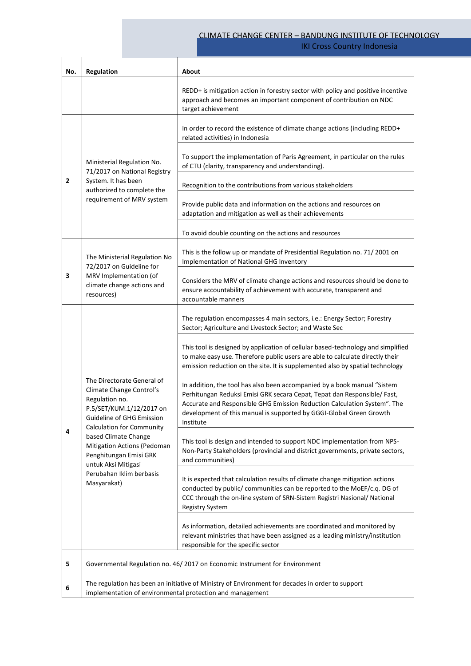# CLIMATE CHANGE CENTER – BANDUNG INSTITUTE OF TECHNOLOGY

IKI Cross Country Indonesia

| No.            | Regulation                                                                                                                                                                                                                                                                                                               | About                                                                                                                                                                                                                                                                                                                |
|----------------|--------------------------------------------------------------------------------------------------------------------------------------------------------------------------------------------------------------------------------------------------------------------------------------------------------------------------|----------------------------------------------------------------------------------------------------------------------------------------------------------------------------------------------------------------------------------------------------------------------------------------------------------------------|
|                |                                                                                                                                                                                                                                                                                                                          | REDD+ is mitigation action in forestry sector with policy and positive incentive<br>approach and becomes an important component of contribution on NDC<br>target achievement                                                                                                                                         |
| $\overline{2}$ | Ministerial Regulation No.<br>71/2017 on National Registry<br>System. It has been<br>authorized to complete the<br>requirement of MRV system                                                                                                                                                                             | In order to record the existence of climate change actions (including REDD+<br>related activities) in Indonesia                                                                                                                                                                                                      |
|                |                                                                                                                                                                                                                                                                                                                          | To support the implementation of Paris Agreement, in particular on the rules<br>of CTU (clarity, transparency and understanding).                                                                                                                                                                                    |
|                |                                                                                                                                                                                                                                                                                                                          | Recognition to the contributions from various stakeholders                                                                                                                                                                                                                                                           |
|                |                                                                                                                                                                                                                                                                                                                          | Provide public data and information on the actions and resources on<br>adaptation and mitigation as well as their achievements                                                                                                                                                                                       |
|                |                                                                                                                                                                                                                                                                                                                          | To avoid double counting on the actions and resources                                                                                                                                                                                                                                                                |
| 3              | The Ministerial Regulation No<br>72/2017 on Guideline for<br>MRV Implementation (of<br>climate change actions and<br>resources)                                                                                                                                                                                          | This is the follow up or mandate of Presidential Regulation no. 71/2001 on<br>Implementation of National GHG Inventory                                                                                                                                                                                               |
|                |                                                                                                                                                                                                                                                                                                                          | Considers the MRV of climate change actions and resources should be done to<br>ensure accountability of achievement with accurate, transparent and<br>accountable manners                                                                                                                                            |
| 4              | The Directorate General of<br>Climate Change Control's<br>Regulation no.<br>P.5/SET/KUM.1/12/2017 on<br>Guideline of GHG Emission<br><b>Calculation for Community</b><br>based Climate Change<br>Mitigation Actions (Pedoman<br>Penghitungan Emisi GRK<br>untuk Aksi Mitigasi<br>Perubahan Iklim berbasis<br>Masyarakat) | The regulation encompasses 4 main sectors, i.e.: Energy Sector; Forestry<br>Sector; Agriculture and Livestock Sector; and Waste Sec                                                                                                                                                                                  |
|                |                                                                                                                                                                                                                                                                                                                          | This tool is designed by application of cellular based-technology and simplified<br>to make easy use. Therefore public users are able to calculate directly their<br>emission reduction on the site. It is supplemented also by spatial technology                                                                   |
|                |                                                                                                                                                                                                                                                                                                                          | In addition, the tool has also been accompanied by a book manual "Sistem<br>Perhitungan Reduksi Emisi GRK secara Cepat, Tepat dan Responsible/ Fast,<br>Accurate and Responsible GHG Emission Reduction Calculation System". The<br>development of this manual is supported by GGGI-Global Green Growth<br>Institute |
|                |                                                                                                                                                                                                                                                                                                                          | This tool is design and intended to support NDC implementation from NPS-<br>Non-Party Stakeholders (provincial and district governments, private sectors,<br>and communities)                                                                                                                                        |
|                |                                                                                                                                                                                                                                                                                                                          | It is expected that calculation results of climate change mitigation actions<br>conducted by public/ communities can be reported to the MoEF/c.q. DG of<br>CCC through the on-line system of SRN-Sistem Registri Nasional/ National<br><b>Registry System</b>                                                        |
|                |                                                                                                                                                                                                                                                                                                                          | As information, detailed achievements are coordinated and monitored by<br>relevant ministries that have been assigned as a leading ministry/institution<br>responsible for the specific sector                                                                                                                       |
| 5              | Governmental Regulation no. 46/2017 on Economic Instrument for Environment                                                                                                                                                                                                                                               |                                                                                                                                                                                                                                                                                                                      |
| 6              | The regulation has been an initiative of Ministry of Environment for decades in order to support<br>implementation of environmental protection and management                                                                                                                                                            |                                                                                                                                                                                                                                                                                                                      |

h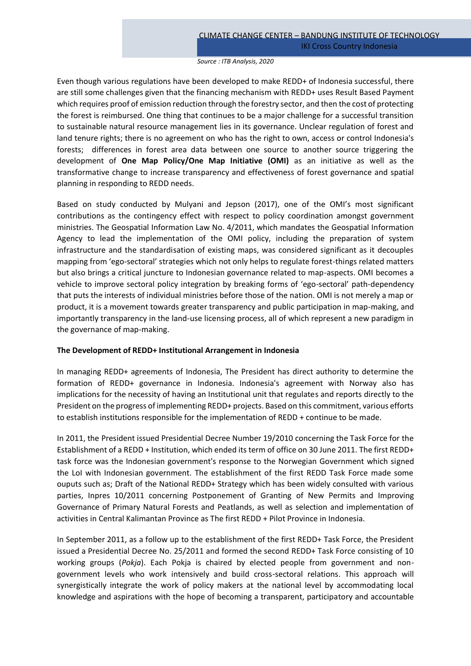#### *Source : ITB Analysis, 2020*

Even though various regulations have been developed to make REDD+ of Indonesia successful, there are still some challenges given that the financing mechanism with REDD+ uses Result Based Payment which requires proof of emission reduction through the forestry sector, and then the cost of protecting the forest is reimbursed. One thing that continues to be a major challenge for a successful transition to sustainable natural resource management lies in its governance. Unclear regulation of forest and land tenure rights; there is no agreement on who has the right to own, access or control Indonesia's forests; differences in forest area data between one source to another source triggering the development of **One Map Policy/One Map Initiative (OMI)** as an initiative as well as the transformative change to increase transparency and effectiveness of forest governance and spatial planning in responding to REDD needs.

Based on study conducted by Mulyani and Jepson (2017), one of the OMI's most significant contributions as the contingency effect with respect to policy coordination amongst government ministries. The Geospatial Information Law No. 4/2011, which mandates the Geospatial Information Agency to lead the implementation of the OMI policy, including the preparation of system infrastructure and the standardisation of existing maps, was considered significant as it decouples mapping from 'ego-sectoral' strategies which not only helps to regulate forest-things related matters but also brings a critical juncture to Indonesian governance related to map-aspects. OMI becomes a vehicle to improve sectoral policy integration by breaking forms of 'ego-sectoral' path-dependency that puts the interests of individual ministries before those of the nation. OMI is not merely a map or product, it is a movement towards greater transparency and public participation in map-making, and importantly transparency in the land-use licensing process, all of which represent a new paradigm in the governance of map-making.

# **The Development of REDD+ Institutional Arrangement in Indonesia**

In managing REDD+ agreements of Indonesia, The President has direct authority to determine the formation of REDD+ governance in Indonesia. Indonesia's agreement with Norway also has implications for the necessity of having an Institutional unit that regulates and reports directly to the President on the progress of implementing REDD+ projects. Based on this commitment, various efforts to establish institutions responsible for the implementation of REDD + continue to be made.

In 2011, the President issued Presidential Decree Number 19/2010 concerning the Task Force for the Establishment of a REDD + Institution, which ended its term of office on 30 June 2011. The first REDD+ task force was the Indonesian government's response to the Norwegian Government which signed the LoI with Indonesian government. The establishment of the first REDD Task Force made some ouputs such as; Draft of the National REDD+ Strategy which has been widely consulted with various parties, Inpres 10/2011 concerning Postponement of Granting of New Permits and Improving Governance of Primary Natural Forests and Peatlands, as well as selection and implementation of activities in Central Kalimantan Province as The first REDD + Pilot Province in Indonesia.

In September 2011, as a follow up to the establishment of the first REDD+ Task Force, the President issued a Presidential Decree No. 25/2011 and formed the second REDD+ Task Force consisting of 10 working groups (*Pokja*). Each Pokja is chaired by elected people from government and nongovernment levels who work intensively and build cross-sectoral relations. This approach will synergistically integrate the work of policy makers at the national level by accommodating local knowledge and aspirations with the hope of becoming a transparent, participatory and accountable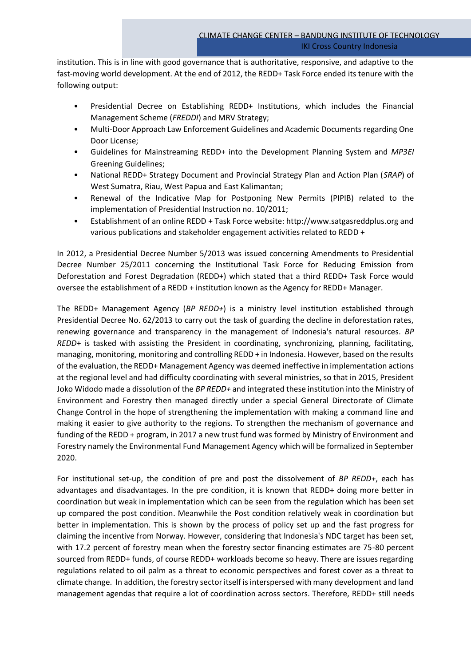institution. This is in line with good governance that is authoritative, responsive, and adaptive to the fast-moving world development. At the end of 2012, the REDD+ Task Force ended its tenure with the following output:

- Presidential Decree on Establishing REDD+ Institutions, which includes the Financial Management Scheme (*FREDDI*) and MRV Strategy;
- Multi-Door Approach Law Enforcement Guidelines and Academic Documents regarding One Door License;
- Guidelines for Mainstreaming REDD+ into the Development Planning System and *MP3EI*  Greening Guidelines;
- National REDD+ Strategy Document and Provincial Strategy Plan and Action Plan (*SRAP*) of West Sumatra, Riau, West Papua and East Kalimantan;
- Renewal of the Indicative Map for Postponing New Permits (PIPIB) related to the implementation of Presidential Instruction no. 10/2011;
- Establishment of an online REDD + Task Force website: http://www.satgasreddplus.org and various publications and stakeholder engagement activities related to REDD +

In 2012, a Presidential Decree Number 5/2013 was issued concerning Amendments to Presidential Decree Number 25/2011 concerning the Institutional Task Force for Reducing Emission from Deforestation and Forest Degradation (REDD+) which stated that a third REDD+ Task Force would oversee the establishment of a REDD + institution known as the Agency for REDD+ Manager.

The REDD+ Management Agency (*BP REDD+*) is a ministry level institution established through Presidential Decree No. 62/2013 to carry out the task of guarding the decline in deforestation rates, renewing governance and transparency in the management of Indonesia's natural resources. *BP REDD*+ is tasked with assisting the President in coordinating, synchronizing, planning, facilitating, managing, monitoring, monitoring and controlling REDD + in Indonesia. However, based on the results of the evaluation, the REDD+ Management Agency was deemed ineffective in implementation actions at the regional level and had difficulty coordinating with several ministries, so that in 2015, President Joko Widodo made a dissolution of the *BP REDD+* and integrated these institution into the Ministry of Environment and Forestry then managed directly under a special General Directorate of Climate Change Control in the hope of strengthening the implementation with making a command line and making it easier to give authority to the regions. To strengthen the mechanism of governance and funding of the REDD + program, in 2017 a new trust fund was formed by Ministry of Environment and Forestry namely the Environmental Fund Management Agency which will be formalized in September 2020.

For institutional set-up, the condition of pre and post the dissolvement of *BP REDD+*, each has advantages and disadvantages. In the pre condition, it is known that REDD+ doing more better in coordination but weak in implementation which can be seen from the regulation which has been set up compared the post condition. Meanwhile the Post condition relatively weak in coordination but better in implementation. This is shown by the process of policy set up and the fast progress for claiming the incentive from Norway. However, considering that Indonesia's NDC target has been set, with 17.2 percent of forestry mean when the forestry sector financing estimates are 75-80 percent sourced from REDD+ funds, of course REDD+ workloads become so heavy. There are issues regarding regulations related to oil palm as a threat to economic perspectives and forest cover as a threat to climate change. In addition, the forestry sector itself is interspersed with many development and land management agendas that require a lot of coordination across sectors. Therefore, REDD+ still needs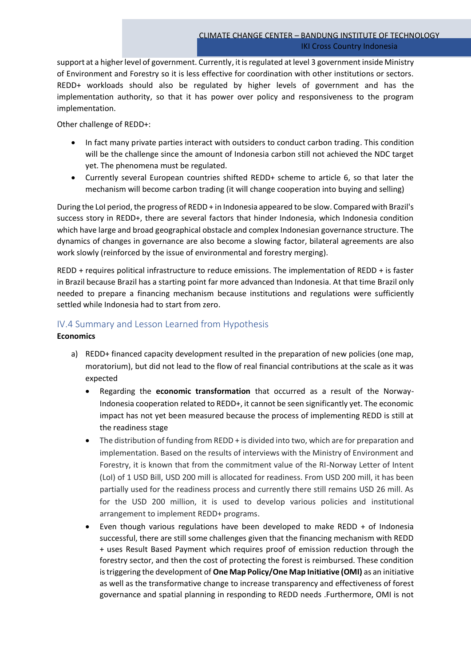support at a higher level of government. Currently, it is regulated at level 3 government inside Ministry of Environment and Forestry so it is less effective for coordination with other institutions or sectors. REDD+ workloads should also be regulated by higher levels of government and has the implementation authority, so that it has power over policy and responsiveness to the program implementation.

Other challenge of REDD+:

- In fact many private parties interact with outsiders to conduct carbon trading. This condition will be the challenge since the amount of Indonesia carbon still not achieved the NDC target yet. The phenomena must be regulated.
- Currently several European countries shifted REDD+ scheme to article 6, so that later the mechanism will become carbon trading (it will change cooperation into buying and selling)

During the LoI period, the progress of REDD + in Indonesia appeared to be slow. Compared with Brazil's success story in REDD+, there are several factors that hinder Indonesia, which Indonesia condition which have large and broad geographical obstacle and complex Indonesian governance structure. The dynamics of changes in governance are also become a slowing factor, bilateral agreements are also work slowly (reinforced by the issue of environmental and forestry merging).

REDD + requires political infrastructure to reduce emissions. The implementation of REDD + is faster in Brazil because Brazil has a starting point far more advanced than Indonesia. At that time Brazil only needed to prepare a financing mechanism because institutions and regulations were sufficiently settled while Indonesia had to start from zero.

# IV.4 Summary and Lesson Learned from Hypothesis

# **Economics**

- a) REDD+ financed capacity development resulted in the preparation of new policies (one map, moratorium), but did not lead to the flow of real financial contributions at the scale as it was expected
	- Regarding the **economic transformation** that occurred as a result of the Norway-Indonesia cooperation related to REDD+, it cannot be seen significantly yet. The economic impact has not yet been measured because the process of implementing REDD is still at the readiness stage
	- The distribution of funding from REDD + is divided into two, which are for preparation and implementation. Based on the results of interviews with the Ministry of Environment and Forestry, it is known that from the commitment value of the RI-Norway Letter of Intent (LoI) of 1 USD Bill, USD 200 mill is allocated for readiness. From USD 200 mill, it has been partially used for the readiness process and currently there still remains USD 26 mill. As for the USD 200 million, it is used to develop various policies and institutional arrangement to implement REDD+ programs.
	- Even though various regulations have been developed to make REDD  $+$  of Indonesia successful, there are still some challenges given that the financing mechanism with REDD + uses Result Based Payment which requires proof of emission reduction through the forestry sector, and then the cost of protecting the forest is reimbursed. These condition is triggering the development of **One Map Policy/One Map Initiative (OMI)** as an initiative as well as the transformative change to increase transparency and effectiveness of forest governance and spatial planning in responding to REDD needs .Furthermore, OMI is not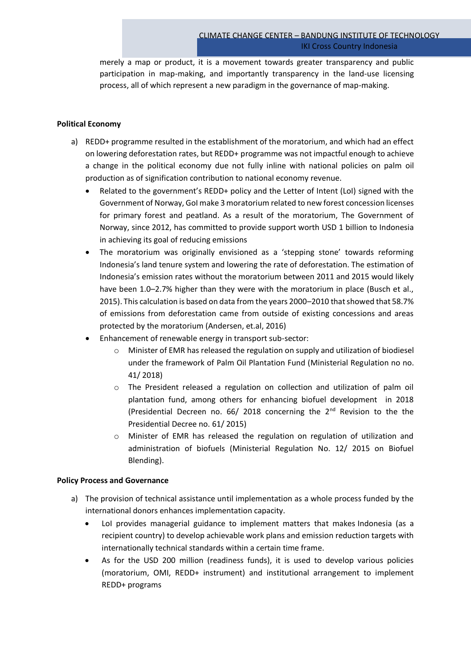merely a map or product, it is a movement towards greater transparency and public participation in map-making, and importantly transparency in the land-use licensing process, all of which represent a new paradigm in the governance of map-making.

# **Political Economy**

- a) REDD+ programme resulted in the establishment of the moratorium, and which had an effect on lowering deforestation rates, but REDD+ programme was not impactful enough to achieve a change in the political economy due not fully inline with national policies on palm oil production as of signification contribution to national economy revenue.
	- Related to the government's REDD+ policy and the Letter of Intent (LoI) signed with the Government of Norway, GoI make 3 moratorium related to new forest concession licenses for primary forest and peatland. As a result of the moratorium, The Government of Norway, since 2012, has committed to provide support worth USD 1 billion to Indonesia in achieving its goal of reducing emissions
	- The moratorium was originally envisioned as a 'stepping stone' towards reforming Indonesia's land tenure system and lowering the rate of deforestation. The estimation of Indonesia's emission rates without the moratorium between 2011 and 2015 would likely have been 1.0–2.7% higher than they were with the moratorium in place (Busch et al., 2015). This calculation is based on data from the years 2000–2010 that showed that 58.7% of emissions from deforestation came from outside of existing concessions and areas protected by the moratorium (Andersen, et.al, 2016)
	- Enhancement of renewable energy in transport sub-sector:
		- $\circ$  Minister of EMR has released the regulation on supply and utilization of biodiesel under the framework of Palm Oil Plantation Fund (Ministerial Regulation no no. 41/ 2018)
		- o The President released a regulation on collection and utilization of palm oil plantation fund, among others for enhancing biofuel development in 2018 (Presidential Decreen no.  $66/2018$  concerning the  $2<sup>nd</sup>$  Revision to the the Presidential Decree no. 61/ 2015)
		- o Minister of EMR has released the regulation on regulation of utilization and administration of biofuels (Ministerial Regulation No. 12/ 2015 on Biofuel Blending).

# **Policy Process and Governance**

- a) The provision of technical assistance until implementation as a whole process funded by the international donors enhances implementation capacity.
	- LoI provides managerial guidance to implement matters that makes Indonesia (as a recipient country) to develop achievable work plans and emission reduction targets with internationally technical standards within a certain time frame.
	- As for the USD 200 million (readiness funds), it is used to develop various policies (moratorium, OMI, REDD+ instrument) and institutional arrangement to implement REDD+ programs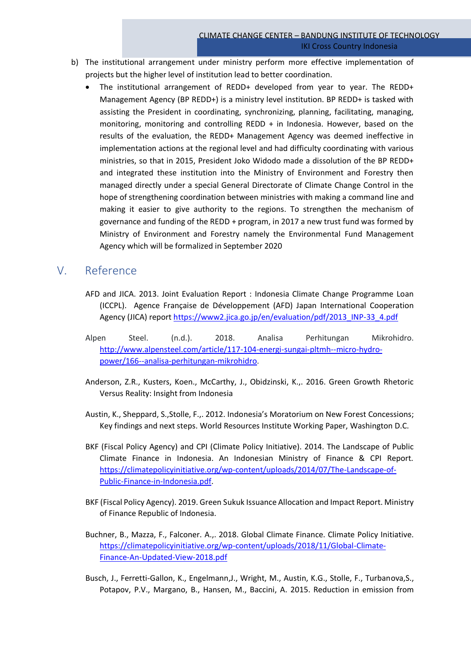- b) The institutional arrangement under ministry perform more effective implementation of projects but the higher level of institution lead to better coordination.
	- The institutional arrangement of REDD+ developed from year to year. The REDD+ Management Agency (BP REDD+) is a ministry level institution. BP REDD+ is tasked with assisting the President in coordinating, synchronizing, planning, facilitating, managing, monitoring, monitoring and controlling REDD + in Indonesia. However, based on the results of the evaluation, the REDD+ Management Agency was deemed ineffective in implementation actions at the regional level and had difficulty coordinating with various ministries, so that in 2015, President Joko Widodo made a dissolution of the BP REDD+ and integrated these institution into the Ministry of Environment and Forestry then managed directly under a special General Directorate of Climate Change Control in the hope of strengthening coordination between ministries with making a command line and making it easier to give authority to the regions. To strengthen the mechanism of governance and funding of the REDD + program, in 2017 a new trust fund was formed by Ministry of Environment and Forestry namely the Environmental Fund Management Agency which will be formalized in September 2020

# V. Reference

- AFD and JICA. 2013. Joint Evaluation Report : Indonesia Climate Change Programme Loan (ICCPL). Agence Française de Développement (AFD) Japan International Cooperation Agency (JICA) report [https://www2.jica.go.jp/en/evaluation/pdf/2013\\_INP-33\\_4.pdf](https://www2.jica.go.jp/en/evaluation/pdf/2013_INP-33_4.pdf)
- Alpen Steel. (n.d.). 2018. Analisa Perhitungan Mikrohidro. [http://www.alpensteel.com/article/117-104-energi-sungai-pltmh--micro-hydro](http://www.alpensteel.com/article/117-104-energi-sungai-pltmh--micro-hydro-power/166--analisa-perhitungan-mikrohidro)[power/166--analisa-perhitungan-mikrohidro.](http://www.alpensteel.com/article/117-104-energi-sungai-pltmh--micro-hydro-power/166--analisa-perhitungan-mikrohidro)
- Anderson, Z.R., Kusters, Koen., McCarthy, J., Obidzinski, K.,. 2016. Green Growth Rhetoric Versus Reality: Insight from Indonesia
- Austin, K., Sheppard, S.,Stolle, F.,. 2012. Indonesia's Moratorium on New Forest Concessions; Key findings and next steps. World Resources Institute Working Paper, Washington D.C.
- BKF (Fiscal Policy Agency) and CPI (Climate Policy Initiative). 2014. The Landscape of Public Climate Finance in Indonesia. An Indonesian Ministry of Finance & CPI Report. [https://climatepolicyinitiative.org/wp-content/uploads/2014/07/The-Landscape-of-](https://climatepolicyinitiative.org/wp-content/uploads/2014/07/The-Landscape-of-Public-Finance-in-Indonesia.pdf)[Public-Finance-in-Indonesia.pdf.](https://climatepolicyinitiative.org/wp-content/uploads/2014/07/The-Landscape-of-Public-Finance-in-Indonesia.pdf)
- BKF (Fiscal Policy Agency). 2019. Green Sukuk Issuance Allocation and Impact Report. Ministry of Finance Republic of Indonesia.
- Buchner, B., Mazza, F., Falconer. A.,. 2018. Global Climate Finance. Climate Policy Initiative. [https://climatepolicyinitiative.org/wp-content/uploads/2018/11/Global-Climate-](https://climatepolicyinitiative.org/wp-content/uploads/2018/11/Global-Climate-Finance-An-Updated-View-2018.pdf)[Finance-An-Updated-View-2018.pdf](https://climatepolicyinitiative.org/wp-content/uploads/2018/11/Global-Climate-Finance-An-Updated-View-2018.pdf)
- Busch, J., Ferretti-Gallon, K., Engelmann,J., Wright, M., Austin, K.G., Stolle, F., Turbanova,S., Potapov, P.V., Margano, B., Hansen, M., Baccini, A. 2015. Reduction in emission from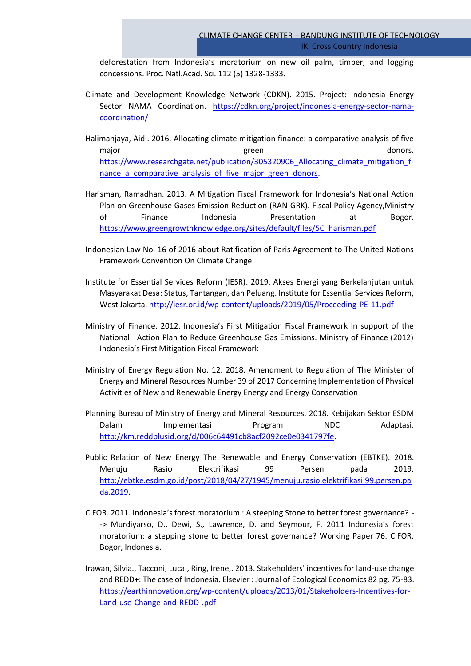deforestation from Indonesia's moratorium on new oil palm, timber, and logging concessions. Proc. Natl.Acad. Sci. 112 (5) 1328-1333.

- Climate and Development Knowledge Network (CDKN). 2015. Project: Indonesia Energy Sector NAMA Coordination. [https://cdkn.org/project/indonesia-energy-sector-nama](https://cdkn.org/project/indonesia-energy-sector-nama-coordination/)[coordination/](https://cdkn.org/project/indonesia-energy-sector-nama-coordination/)
- Halimanjaya, Aidi. 2016. Allocating climate mitigation finance: a comparative analysis of five major and the second service of the service service service services of the service service service service se [https://www.researchgate.net/publication/305320906\\_Allocating\\_climate\\_mitigation\\_fi](https://www.researchgate.net/publication/305320906_Allocating_climate_mitigation_finance_a_comparative_analysis_of_five_major_green_donors) nance a comparative analysis of five major green donors.
- Harisman, Ramadhan. 2013. A Mitigation Fiscal Framework for Indonesia's National Action Plan on Greenhouse Gases Emission Reduction (RAN-GRK). Fiscal Policy Agency,Ministry of Finance Indonesia Presentation at Bogor. [https://www.greengrowthknowledge.org/sites/default/files/5C\\_harisman.pdf](https://www.greengrowthknowledge.org/sites/default/files/5C_harisman.pdf)
- Indonesian Law No. 16 of 2016 about Ratification of Paris Agreement to The United Nations Framework Convention On Climate Change
- Institute for Essential Services Reform (IESR). 2019. Akses Energi yang Berkelanjutan untuk Masyarakat Desa: Status, Tantangan, dan Peluang. Institute for Essential Services Reform, West Jakarta.<http://iesr.or.id/wp-content/uploads/2019/05/Proceeding-PE-11.pdf>
- Ministry of Finance. 2012. Indonesia's First Mitigation Fiscal Framework In support of the National Action Plan to Reduce Greenhouse Gas Emissions. Ministry of Finance (2012) Indonesia's First Mitigation Fiscal Framework
- Ministry of Energy Regulation No. 12. 2018. Amendment to Regulation of The Minister of Energy and Mineral Resources Number 39 of 2017 Concerning Implementation of Physical Activities of New and Renewable Energy Energy and Energy Conservation
- Planning Bureau of Ministry of Energy and Mineral Resources. 2018. Kebijakan Sektor ESDM Dalam Implementasi Program NDC Adaptasi. [http://km.reddplusid.org/d/006c64491cb8acf2092ce0e0341797fe.](http://km.reddplusid.org/d/006c64491cb8acf2092ce0e0341797fe)
- Public Relation of New Energy The Renewable and Energy Conservation (EBTKE). 2018. Menuju Rasio Elektrifikasi 99 Persen pada 2019. [http://ebtke.esdm.go.id/post/2018/04/27/1945/menuju.rasio.elektrifikasi.99.persen.pa](http://ebtke.esdm.go.id/post/2018/04/27/1945/menuju.rasio.elektrifikasi.99.persen.pada.2019) [da.2019.](http://ebtke.esdm.go.id/post/2018/04/27/1945/menuju.rasio.elektrifikasi.99.persen.pada.2019)
- CIFOR. 2011. Indonesia's forest moratorium : A steeping Stone to better forest governance?.- -> Murdiyarso, D., Dewi, S., Lawrence, D. and Seymour, F. 2011 Indonesia's forest moratorium: a stepping stone to better forest governance? Working Paper 76. CIFOR, Bogor, Indonesia.
- Irawan, Silvia., Tacconi, Luca., Ring, Irene,. 2013. Stakeholders' incentives for land-use change and REDD+: The case of Indonesia. Elsevier : Journal of Ecological Economics 82 pg. 75-83. [https://earthinnovation.org/wp-content/uploads/2013/01/Stakeholders-Incentives-for-](https://earthinnovation.org/wp-content/uploads/2013/01/Stakeholders-Incentives-for-Land-use-Change-and-REDD-.pdf)[Land-use-Change-and-REDD-.pdf](https://earthinnovation.org/wp-content/uploads/2013/01/Stakeholders-Incentives-for-Land-use-Change-and-REDD-.pdf)